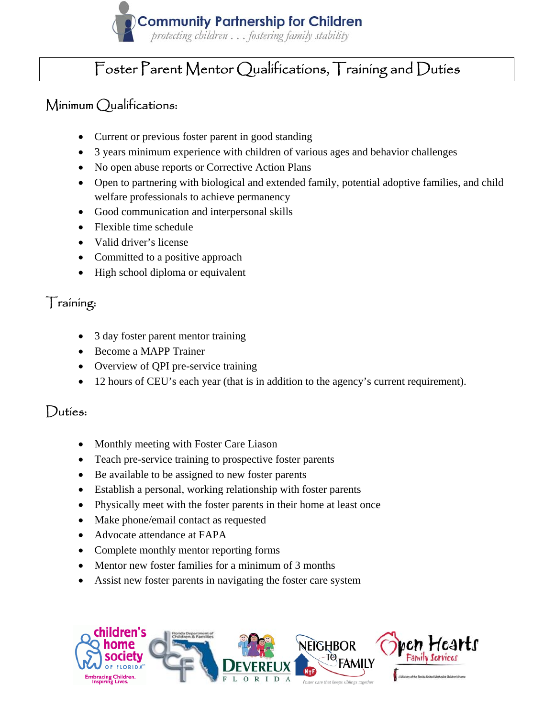

## Foster Parent Mentor Qualifications, Training and Duties

### Minimum Qualifications:

- Current or previous foster parent in good standing
- 3 years minimum experience with children of various ages and behavior challenges
- No open abuse reports or Corrective Action Plans
- Open to partnering with biological and extended family, potential adoptive families, and child welfare professionals to achieve permanency
- Good communication and interpersonal skills
- Flexible time schedule
- Valid driver's license
- Committed to a positive approach
- High school diploma or equivalent

#### Training:

- 3 day foster parent mentor training
- Become a MAPP Trainer
- Overview of QPI pre-service training
- 12 hours of CEU's each year (that is in addition to the agency's current requirement).

#### Duties:

- Monthly meeting with Foster Care Liason
- Teach pre-service training to prospective foster parents
- Be available to be assigned to new foster parents
- Establish a personal, working relationship with foster parents
- Physically meet with the foster parents in their home at least once
- Make phone/email contact as requested
- Advocate attendance at FAPA
- Complete monthly mentor reporting forms
- Mentor new foster families for a minimum of 3 months
- Assist new foster parents in navigating the foster care system

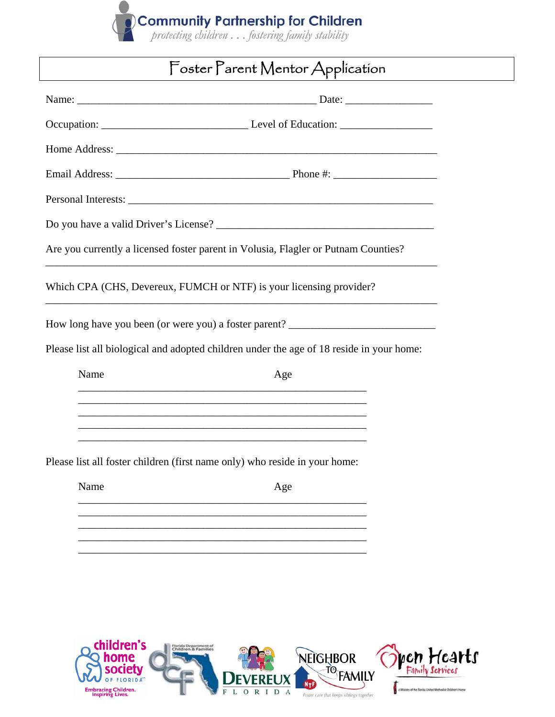

# Foster Parent Mentor Application

|                                                                                          |      | Are you currently a licensed foster parent in Volusia, Flagler or Putnam Counties?                               |  |  |
|------------------------------------------------------------------------------------------|------|------------------------------------------------------------------------------------------------------------------|--|--|
|                                                                                          |      | Which CPA (CHS, Devereux, FUMCH or NTF) is your licensing provider?                                              |  |  |
|                                                                                          |      | How long have you been (or were you) a foster parent? ___________________________                                |  |  |
| Please list all biological and adopted children under the age of 18 reside in your home: |      |                                                                                                                  |  |  |
|                                                                                          | Name | Age                                                                                                              |  |  |
|                                                                                          |      |                                                                                                                  |  |  |
|                                                                                          |      | and the control of the control of the control of the control of the control of the control of the control of the |  |  |
| Please list all foster children (first name only) who reside in your home:               |      |                                                                                                                  |  |  |
|                                                                                          | Name | Age                                                                                                              |  |  |
|                                                                                          |      |                                                                                                                  |  |  |
|                                                                                          |      |                                                                                                                  |  |  |
|                                                                                          |      |                                                                                                                  |  |  |
|                                                                                          |      |                                                                                                                  |  |  |